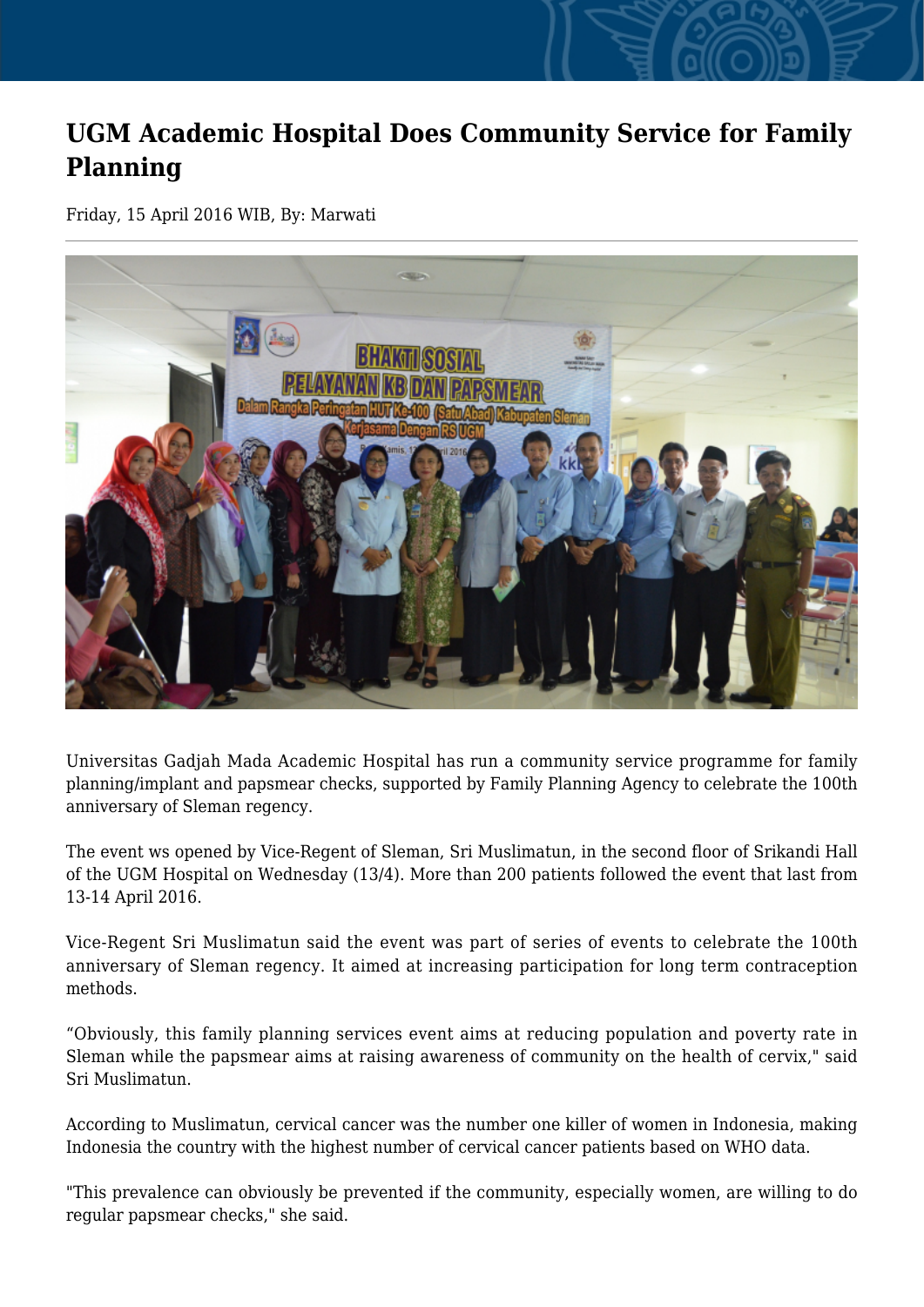## **UGM Academic Hospital Does Community Service for Family Planning**

Friday, 15 April 2016 WIB, By: Marwati



Universitas Gadjah Mada Academic Hospital has run a community service programme for family planning/implant and papsmear checks, supported by Family Planning Agency to celebrate the 100th anniversary of Sleman regency.

The event ws opened by Vice-Regent of Sleman, Sri Muslimatun, in the second floor of Srikandi Hall of the UGM Hospital on Wednesday (13/4). More than 200 patients followed the event that last from 13-14 April 2016.

Vice-Regent Sri Muslimatun said the event was part of series of events to celebrate the 100th anniversary of Sleman regency. It aimed at increasing participation for long term contraception methods.

"Obviously, this family planning services event aims at reducing population and poverty rate in Sleman while the papsmear aims at raising awareness of community on the health of cervix," said Sri Muslimatun.

According to Muslimatun, cervical cancer was the number one killer of women in Indonesia, making Indonesia the country with the highest number of cervical cancer patients based on WHO data.

"This prevalence can obviously be prevented if the community, especially women, are willing to do regular papsmear checks," she said.